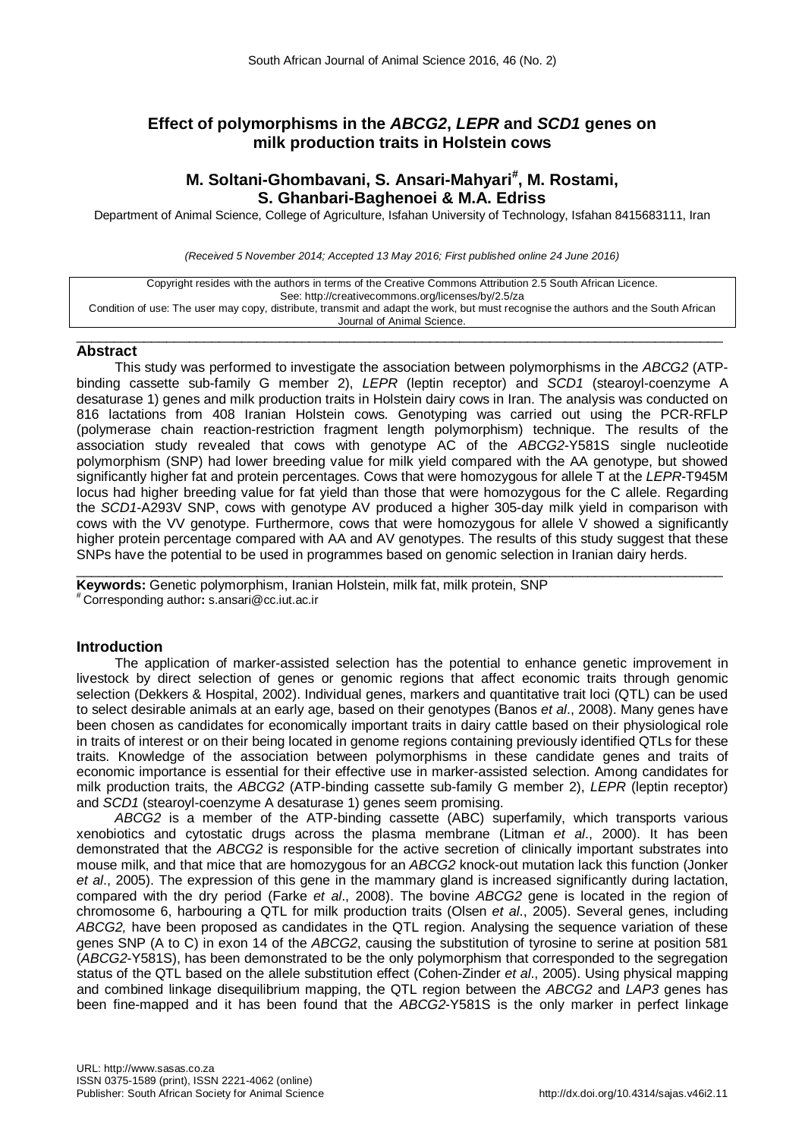# **Effect of polymorphisms in the** *ABCG2***,** *LEPR* **and** *SCD1* **genes on milk production traits in Holstein cows**

# **M. Soltani-Ghombavani, S. Ansari-Mahyari# , M. Rostami, S. Ghanbari-Baghenoei & M.A. Edriss**

Department of Animal Science, College of Agriculture, Isfahan University of Technology, Isfahan 8415683111, Iran

*(Received 5 November 2014; Accepted 13 May 2016; First published online 24 June 2016)*

| Copyright resides with the authors in terms of the Creative Commons Attribution 2.5 South African Licence.                         |
|------------------------------------------------------------------------------------------------------------------------------------|
| See: http://creativecommons.org/licenses/by/2.5/za                                                                                 |
| Condition of use: The user may copy, distribute, transmit and adapt the work, but must recognise the authors and the South African |
| Journal of Animal Science.                                                                                                         |

 $\_$  ,  $\_$  ,  $\_$  ,  $\_$  ,  $\_$  ,  $\_$  ,  $\_$  ,  $\_$  ,  $\_$  ,  $\_$  ,  $\_$  ,  $\_$  ,  $\_$  ,  $\_$  ,  $\_$  ,  $\_$  ,  $\_$  ,  $\_$  ,  $\_$  ,  $\_$  ,  $\_$  ,  $\_$  ,  $\_$  ,  $\_$  ,  $\_$  ,  $\_$  ,  $\_$  ,  $\_$  ,  $\_$  ,  $\_$  ,  $\_$  ,  $\_$  ,  $\_$  ,  $\_$  ,  $\_$  ,  $\_$  ,  $\_$  ,

### **Abstract**

This study was performed to investigate the association between polymorphisms in the *ABCG2* (ATPbinding cassette sub-family G member 2), *LEPR* (leptin receptor) and *SCD1* (stearoyl-coenzyme A desaturase 1) genes and milk production traits in Holstein dairy cows in Iran. The analysis was conducted on 816 lactations from 408 Iranian Holstein cows. Genotyping was carried out using the PCR-RFLP (polymerase chain reaction-restriction fragment length polymorphism) technique. The results of the association study revealed that cows with genotype AC of the *ABCG2*-Y581S single nucleotide polymorphism (SNP) had lower breeding value for milk yield compared with the AA genotype, but showed significantly higher fat and protein percentages. Cows that were homozygous for allele T at the *LEPR*-T945M locus had higher breeding value for fat yield than those that were homozygous for the C allele. Regarding the *SCD1*-A293V SNP, cows with genotype AV produced a higher 305-day milk yield in comparison with cows with the VV genotype. Furthermore, cows that were homozygous for allele V showed a significantly higher protein percentage compared with AA and AV genotypes. The results of this study suggest that these SNPs have the potential to be used in programmes based on genomic selection in Iranian dairy herds.

\_\_\_\_\_\_\_\_\_\_\_\_\_\_\_\_\_\_\_\_\_\_\_\_\_\_\_\_\_\_\_\_\_\_\_\_\_\_\_\_\_\_\_\_\_\_\_\_\_\_\_\_\_\_\_\_\_\_\_\_\_\_\_\_\_\_\_\_\_\_\_\_\_\_\_\_\_\_\_\_\_\_\_\_\_\_ **Keywords:** Genetic polymorphism, Iranian Holstein, milk fat, milk protein, SNP # Corresponding author**:** [s.ansari@cc.iut.ac.ir](mailto:s.ansari@cc.iut.ac.ir)

## **Introduction**

The application of marker-assisted selection has the potential to enhance genetic improvement in livestock by direct selection of genes or genomic regions that affect economic traits through genomic selection (Dekkers & Hospital, 2002). Individual genes, markers and quantitative trait loci (QTL) can be used to select desirable animals at an early age, based on their genotypes (Banos *et al*., 2008). Many genes have been chosen as candidates for economically important traits in dairy cattle based on their physiological role in traits of interest or on their being located in genome regions containing previously identified QTLs for these traits. Knowledge of the association between polymorphisms in these candidate genes and traits of economic importance is essential for their effective use in marker-assisted selection. Among candidates for milk production traits, the *ABCG2* (ATP-binding cassette sub-family G member 2), *LEPR* (leptin receptor) and *SCD1* (stearoyl-coenzyme A desaturase 1) genes seem promising.

*ABCG2* is a member of the ATP-binding cassette (ABC) superfamily, which transports various xenobiotics and cytostatic drugs across the plasma membrane (Litman *et al*., 2000). It has been demonstrated that the *ABCG2* is responsible for the active secretion of clinically important substrates into mouse milk, and that mice that are homozygous for an *ABCG2* knock-out mutation lack this function (Jonker *et al*., 2005). The expression of this gene in the mammary gland is increased significantly during lactation, compared with the dry period (Farke *et al*., 2008). The bovine *ABCG2* gene is located in the region of chromosome 6, harbouring a QTL for milk production traits (Olsen *et al*., 2005). Several genes, including *ABCG2,* have been proposed as candidates in the QTL region. Analysing the sequence variation of these genes SNP (A to C) in exon 14 of the *ABCG2*, causing the substitution of tyrosine to serine at position 581 (*ABCG2*-Y581S), has been demonstrated to be the only polymorphism that corresponded to the segregation status of the QTL based on the allele substitution effect (Cohen-Zinder *et al*., 2005). Using physical mapping and combined linkage disequilibrium mapping, the QTL region between the *ABCG2* and *LAP3* genes has been fine-mapped and it has been found that the *ABCG2*-Y581S is the only marker in perfect linkage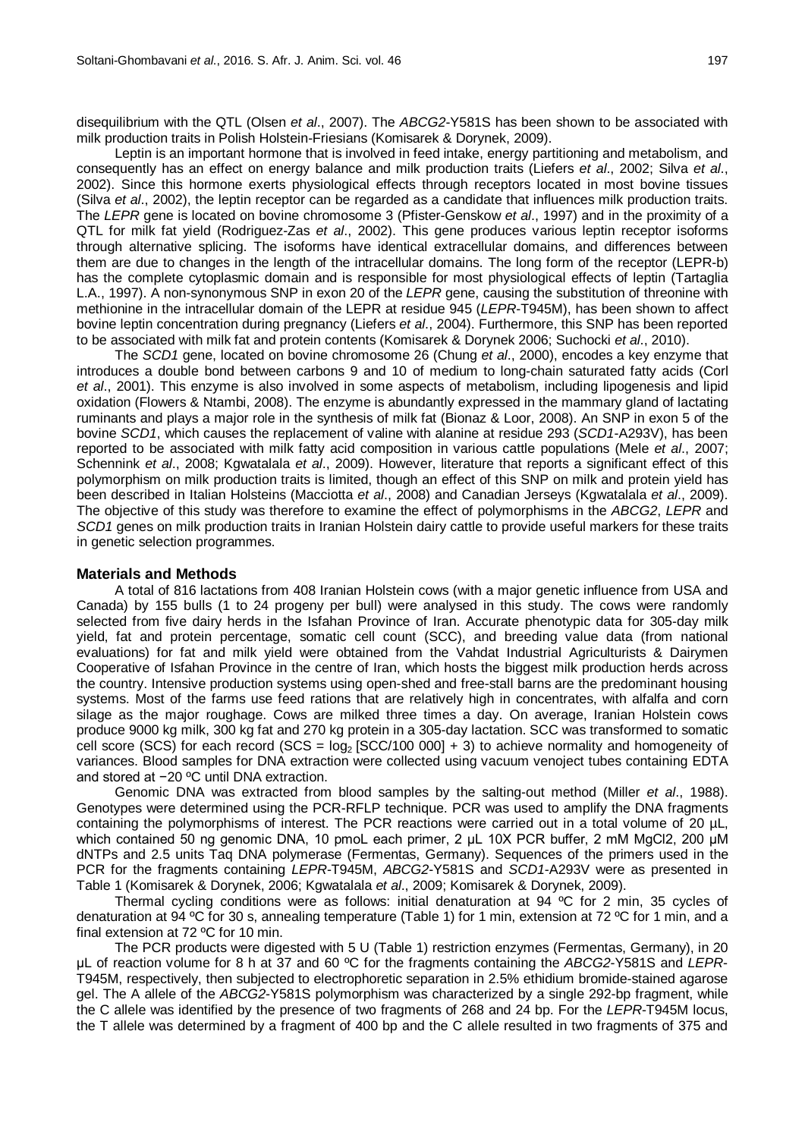disequilibrium with the QTL (Olsen *et al*., 2007). The *ABCG2*-Y581S has been shown to be associated with milk production traits in Polish Holstein-Friesians (Komisarek & Dorynek, 2009).

Leptin is an important hormone that is involved in feed intake, energy partitioning and metabolism, and consequently has an effect on energy balance and milk production traits (Liefers *et al*., 2002; Silva *et al*., 2002). Since this hormone exerts physiological effects through receptors located in most bovine tissues (Silva *et al*., 2002), the leptin receptor can be regarded as a candidate that influences milk production traits. The *LEPR* gene is located on bovine chromosome 3 (Pfister-Genskow *et al*., 1997) and in the proximity of a QTL for milk fat yield (Rodriguez-Zas *et al*., 2002). This gene produces various leptin receptor isoforms through alternative splicing. The isoforms have identical extracellular domains, and differences between them are due to changes in the length of the intracellular domains. The long form of the receptor (LEPR-b) has the complete cytoplasmic domain and is responsible for most physiological effects of leptin (Tartaglia L.A., 1997). A non-synonymous SNP in exon 20 of the *LEPR* gene, causing the substitution of threonine with methionine in the intracellular domain of the LEPR at residue 945 (*LEPR*-T945M), has been shown to affect bovine leptin concentration during pregnancy (Liefers *et al*., 2004). Furthermore, this SNP has been reported to be associated with milk fat and protein contents (Komisarek & Dorynek 2006; Suchocki *et al*., 2010).

The *SCD1* gene, located on bovine chromosome 26 (Chung *et al*., 2000), encodes a key enzyme that introduces a double bond between carbons 9 and 10 of medium to long-chain saturated fatty acids (Corl *et al*., 2001). This enzyme is also involved in some aspects of metabolism, including lipogenesis and lipid oxidation (Flowers & Ntambi, 2008). The enzyme is abundantly expressed in the mammary gland of lactating ruminants and plays a major role in the synthesis of milk fat (Bionaz & Loor, 2008). An SNP in exon 5 of the bovine *SCD1*, which causes the replacement of valine with alanine at residue 293 (*SCD1*-A293V), has been reported to be associated with milk fatty acid composition in various cattle populations (Mele *et al*., 2007; Schennink *et al*., 2008; Kgwatalala *et al*., 2009). However, literature that reports a significant effect of this polymorphism on milk production traits is limited, though an effect of this SNP on milk and protein yield has been described in Italian Holsteins (Macciotta *et al*., 2008) and Canadian Jerseys (Kgwatalala *et al*., 2009). The objective of this study was therefore to examine the effect of polymorphisms in the *ABCG2*, *LEPR* and *SCD1* genes on milk production traits in Iranian Holstein dairy cattle to provide useful markers for these traits in genetic selection programmes.

### **Materials and Methods**

A total of 816 lactations from 408 Iranian Holstein cows (with a major genetic influence from USA and Canada) by 155 bulls (1 to 24 progeny per bull) were analysed in this study. The cows were randomly selected from five dairy herds in the Isfahan Province of Iran. Accurate phenotypic data for 305-day milk yield, fat and protein percentage, somatic cell count (SCC), and breeding value data (from national evaluations) for fat and milk yield were obtained from the Vahdat Industrial Agriculturists & Dairymen Cooperative of Isfahan Province in the centre of Iran, which hosts the biggest milk production herds across the country. Intensive production systems using open-shed and free-stall barns are the predominant housing systems. Most of the farms use feed rations that are relatively high in concentrates, with alfalfa and corn silage as the major roughage. Cows are milked three times a day. On average, Iranian Holstein cows produce 9000 kg milk, 300 kg fat and 270 kg protein in a 305-day lactation. SCC was transformed to somatic cell score (SCS) for each record (SCS =  $log_2$  [SCC/100 000] + 3) to achieve normality and homogeneity of variances. Blood samples for DNA extraction were collected using vacuum venoject tubes containing EDTA and stored at −20 ºC until DNA extraction.

Genomic DNA was extracted from blood samples by the salting-out method (Miller *et al*., 1988). Genotypes were determined using the PCR-RFLP technique. PCR was used to amplify the DNA fragments containing the polymorphisms of interest. The PCR reactions were carried out in a total volume of 20 µL. which contained 50 ng genomic DNA, 10 pmoL each primer, 2 μL 10X PCR buffer, 2 mM MgCl2, 200 μM dNTPs and 2.5 units Taq DNA polymerase (Fermentas, Germany). Sequences of the primers used in the PCR for the fragments containing *LEPR*-T945M, *ABCG2*-Y581S and *SCD1*-A293V were as presented in Table 1 (Komisarek & Dorynek, 2006; Kgwatalala *et al*., 2009; Komisarek & Dorynek, 2009).

Thermal cycling conditions were as follows: initial denaturation at 94 ºC for 2 min, 35 cycles of denaturation at 94 ºC for 30 s, annealing temperature (Table 1) for 1 min, extension at 72 ºC for 1 min, and a final extension at 72 ºC for 10 min.

The PCR products were digested with 5 U (Table 1) restriction enzymes (Fermentas, Germany), in 20 μL of reaction volume for 8 h at 37 and 60 ºC for the fragments containing the *ABCG2*-Y581S and *LEPR*-T945M, respectively, then subjected to electrophoretic separation in 2.5% ethidium bromide-stained agarose gel. The A allele of the *ABCG2*-Y581S polymorphism was characterized by a single 292-bp fragment, while the C allele was identified by the presence of two fragments of 268 and 24 bp. For the *LEPR*-T945M locus, the T allele was determined by a fragment of 400 bp and the C allele resulted in two fragments of 375 and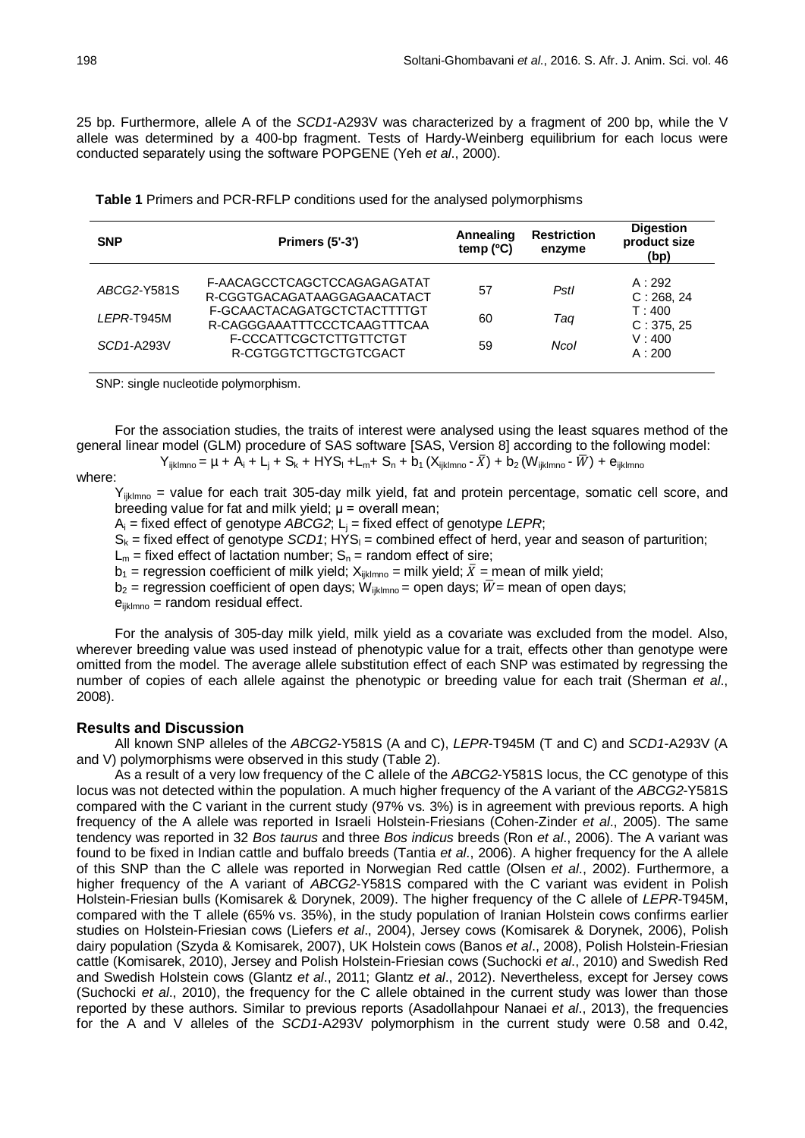25 bp. Furthermore, allele A of the *SCD1-*A293V was characterized by a fragment of 200 bp, while the V allele was determined by a 400-bp fragment. Tests of Hardy-Weinberg equilibrium for each locus were conducted separately using the software POPGENE (Yeh *et al*., 2000).

| <b>SNP</b>  | <b>Primers (5'-3')</b>                                     | Annealing<br>temp $(°C)$ | <b>Restriction</b><br>enzyme | <b>Digestion</b><br>product size<br>(bp) |
|-------------|------------------------------------------------------------|--------------------------|------------------------------|------------------------------------------|
| ABCG2-Y581S | F-AACAGCCTCAGCTCCAGAGAGATAT<br>R-CGGTGACAGATAAGGAGAACATACT | 57                       | Pstl                         | A:292<br>C: 268, 24                      |
| LEPR-T945M  | F-GCAACTACAGATGCTCTACTTTTGT<br>R-CAGGGAAATTTCCCTCAAGTTTCAA | 60                       | Taq                          | T:400<br>C: 375, 25                      |
| SCD1-A293V  | F-CCCATTCGCTCTTGTTCTGT<br>R-CGTGGTCTTGCTGTCGACT            | 59                       | Ncol                         | V:400<br>A:200                           |

SNP: single nucleotide polymorphism.

For the association studies, the traits of interest were analysed using the least squares method of the general linear model (GLM) procedure of SAS software [SAS, Version 8] according to the following model:

 $Y_{iiklmno} = \mu + A_i + L_i + S_k + HYS_i + L_m + S_n + b_1 (X_{iiklmno} - \bar{X}) + b_2 (W_{iiklmno} - \bar{W}) + e_{iiklmno}$ 

### where:

 $Y_{ijklmno}$  = value for each trait 305-day milk yield, fat and protein percentage, somatic cell score, and breeding value for fat and milk yield;  $\mu$  = overall mean;

 $A_i$  = fixed effect of genotype *ABCG2*;  $L_i$  = fixed effect of genotype *LEPR*;

 $S_k$  = fixed effect of genotype *SCD1*; HYS<sub>I</sub> = combined effect of herd, year and season of parturition;

 $L_m$  = fixed effect of lactation number;  $S_n$  = random effect of sire;

 $b_1$  = regression coefficient of milk yield;  $X_{\text{iklmno}}$  = milk yield;  $\bar{X}$  = mean of milk yield;

 $b_2$  = regression coefficient of open days;  $\dot{W}_{\text{iklmno}}$  = open days;  $\dot{W}$  = mean of open days;

 $e_{iiklmno}$  = random residual effect.

For the analysis of 305-day milk yield, milk yield as a covariate was excluded from the model. Also, wherever breeding value was used instead of phenotypic value for a trait, effects other than genotype were omitted from the model. The average allele substitution effect of each SNP was estimated by regressing the number of copies of each allele against the phenotypic or breeding value for each trait (Sherman *et al*., 2008).

### **Results and Discussion**

All known SNP alleles of the *ABCG2*-Y581S (A and C), *LEPR*-T945M (T and C) and *SCD1*-A293V (A and V) polymorphisms were observed in this study (Table 2).

As a result of a very low frequency of the C allele of the *ABCG2*-Y581S locus, the CC genotype of this locus was not detected within the population. A much higher frequency of the A variant of the *ABCG2*-Y581S compared with the C variant in the current study (97% vs. 3%) is in agreement with previous reports. A high frequency of the A allele was reported in Israeli Holstein-Friesians (Cohen-Zinder *et al*., 2005). The same tendency was reported in 32 *Bos taurus* and three *Bos indicus* breeds (Ron *et al*., 2006). The A variant was found to be fixed in Indian cattle and buffalo breeds (Tantia *et al*., 2006). A higher frequency for the A allele of this SNP than the C allele was reported in Norwegian Red cattle (Olsen *et al*., 2002). Furthermore, a higher frequency of the A variant of *ABCG2*-Y581S compared with the C variant was evident in Polish Holstein-Friesian bulls (Komisarek & Dorynek, 2009). The higher frequency of the C allele of *LEPR*-T945M, compared with the T allele (65% vs. 35%), in the study population of Iranian Holstein cows confirms earlier studies on Holstein-Friesian cows (Liefers *et al*., 2004), Jersey cows (Komisarek & Dorynek, 2006), Polish dairy population (Szyda & Komisarek, 2007), UK Holstein cows (Banos *et al*., 2008), Polish Holstein-Friesian cattle (Komisarek, 2010), Jersey and Polish Holstein-Friesian cows (Suchocki *et al*., 2010) and Swedish Red and Swedish Holstein cows (Glantz *et al*., 2011; Glantz *et al*., 2012). Nevertheless, except for Jersey cows (Suchocki *et al*., 2010), the frequency for the C allele obtained in the current study was lower than those reported by these authors. Similar to previous reports (Asadollahpour Nanaei *et al*., 2013), the frequencies for the A and V alleles of the *SCD1*-A293V polymorphism in the current study were 0.58 and 0.42,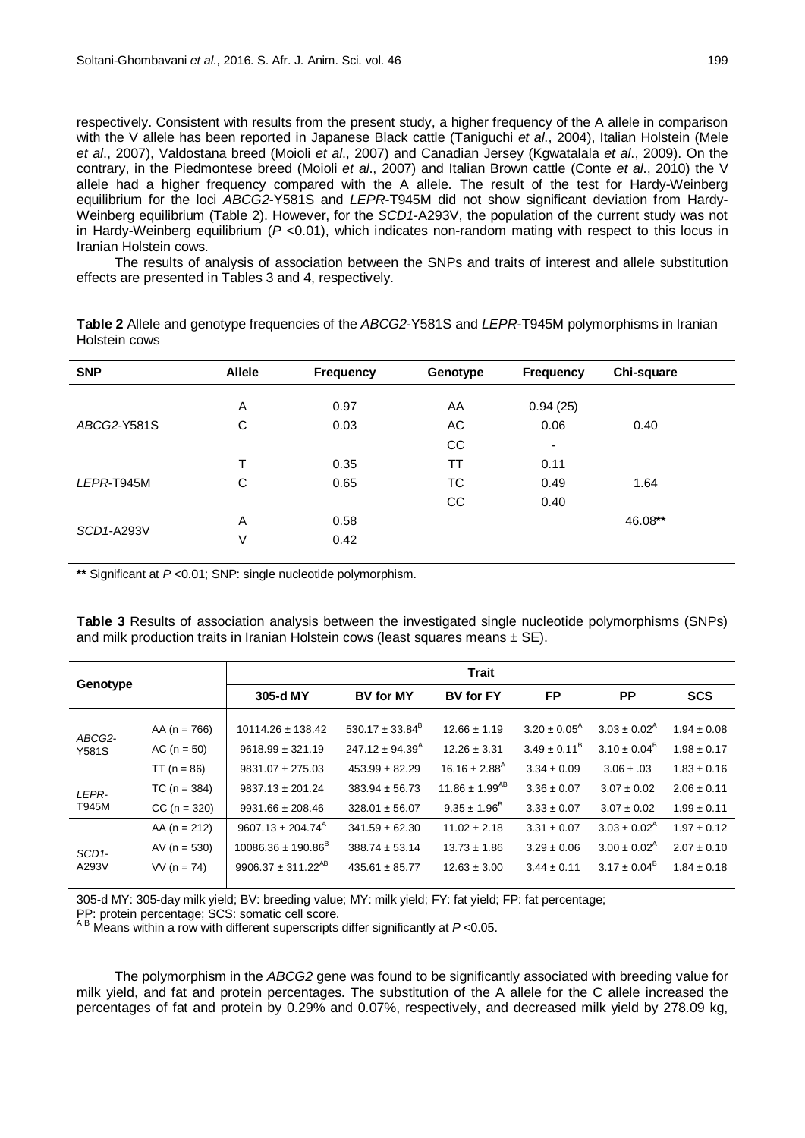respectively. Consistent with results from the present study, a higher frequency of the A allele in comparison with the V allele has been reported in Japanese Black cattle (Taniguchi *et al*., 2004), Italian Holstein (Mele *et al*., 2007), Valdostana breed (Moioli *et al*., 2007) and Canadian Jersey (Kgwatalala *et al*., 2009). On the contrary, in the Piedmontese breed (Moioli *et al*., 2007) and Italian Brown cattle (Conte *et al*., 2010) the V allele had a higher frequency compared with the A allele. The result of the test for Hardy-Weinberg equilibrium for the loci *ABCG2*-Y581S and *LEPR*-T945M did not show significant deviation from Hardy-Weinberg equilibrium (Table 2). However, for the *SCD1*-A293V, the population of the current study was not in Hardy-Weinberg equilibrium (*P* <0.01), which indicates non-random mating with respect to this locus in Iranian Holstein cows.

The results of analysis of association between the SNPs and traits of interest and allele substitution effects are presented in Tables 3 and 4, respectively.

| <b>SNP</b>  | <b>Allele</b> | <b>Frequency</b> | Genotype | <b>Frequency</b> | Chi-square |  |
|-------------|---------------|------------------|----------|------------------|------------|--|
|             | Α             | 0.97             | AA       | 0.94(25)         |            |  |
|             |               |                  |          |                  |            |  |
| ABCG2-Y581S | C             | 0.03             | AC.      | 0.06             | 0.40       |  |
|             |               |                  | CC       | $\blacksquare$   |            |  |
|             | т             | 0.35             | TT       | 0.11             |            |  |
| LEPR-T945M  | C             | 0.65             | TC.      | 0.49             | 1.64       |  |
|             |               |                  | CC       | 0.40             |            |  |
| SCD1-A293V  | A             | 0.58             |          |                  | 46.08**    |  |
|             | ٧             | 0.42             |          |                  |            |  |
|             |               |                  |          |                  |            |  |

**Table 2** Allele and genotype frequencies of the *ABCG2*-Y581S and *LEPR*-T945M polymorphisms in Iranian Holstein cows

**\*\*** Significant at *P* <0.01; SNP: single nucleotide polymorphism.

**Table 3** Results of association analysis between the investigated single nucleotide polymorphisms (SNPs) and milk production traits in Iranian Holstein cows (least squares means  $\pm$  SE).

|                    |                  | <b>Trait</b>                       |                            |                               |                            |                            |                 |
|--------------------|------------------|------------------------------------|----------------------------|-------------------------------|----------------------------|----------------------------|-----------------|
| Genotype           |                  | 305-d MY                           | <b>BV for MY</b>           | <b>BV</b> for FY              | <b>FP</b>                  | <b>PP</b>                  | <b>SCS</b>      |
| ABCG2-             | AA ( $n = 766$ ) | $10114.26 \pm 138.42$              | $530.17 \pm 33.84^B$       | $12.66 \pm 1.19$              | $3.20 \pm 0.05^{\text{A}}$ | $3.03 \pm 0.02^{\text{A}}$ | $1.94 \pm 0.08$ |
| <b>Y581S</b>       | $AC (n = 50)$    | $9618.99 \pm 321.19$               | $247.12 \pm 94.39^{\circ}$ | $12.26 \pm 3.31$              | $3.49 \pm 0.11^8$          | $3.10 \pm 0.04^{\text{B}}$ | $1.98 \pm 0.17$ |
|                    | TT ( $n = 86$ )  | $9831.07 \pm 275.03$               | $453.99 \pm 82.29$         | $16.16 \pm 2.88$ <sup>A</sup> | $3.34 \pm 0.09$            | $3.06 \pm .03$             | $1.83 \pm 0.16$ |
| LEPR-              | $TC (n = 384)$   | $9837.13 \pm 201.24$               | $383.94 \pm 56.73$         | $11.86 \pm 1.99^{AB}$         | $3.36 \pm 0.07$            | $3.07 \pm 0.02$            | $2.06 \pm 0.11$ |
| T945M              | $CC (n = 320)$   | $9931.66 \pm 208.46$               | $328.01 \pm 56.07$         | $9.35 \pm 1.96^{\circ}$       | $3.33 \pm 0.07$            | $3.07 \pm 0.02$            | $1.99 \pm 0.11$ |
|                    | $AA (n = 212)$   | $9607.13 \pm 204.74$ <sup>A</sup>  | $341.59 \pm 62.30$         | $11.02 \pm 2.18$              | $3.31 \pm 0.07$            | $3.03 \pm 0.02^{\text{A}}$ | $1.97 \pm 0.12$ |
| SCD <sub>1</sub> - | AV ( $n = 530$ ) | $10086.36 \pm 190.86^{\circ}$      | $388.74 \pm 53.14$         | $13.73 \pm 1.86$              | $3.29 \pm 0.06$            | $3.00 \pm 0.02^{\text{A}}$ | $2.07 \pm 0.10$ |
| A293V              | $VV (n = 74)$    | 9906.37 $\pm$ 311.22 <sup>AB</sup> | $435.61 \pm 85.77$         | $12.63 \pm 3.00$              | $3.44 \pm 0.11$            | $3.17 \pm 0.04^8$          | $1.84 \pm 0.18$ |

305-d MY: 305-day milk yield; BV: breeding value; MY: milk yield; FY: fat yield; FP: fat percentage;

PP: protein percentage; SCS: somatic cell score.<br><sup>A,B</sup> Means within a row with different superscripts differ significantly at *P* <0.05.

The polymorphism in the *ABCG2* gene was found to be significantly associated with breeding value for milk yield, and fat and protein percentages. The substitution of the A allele for the C allele increased the percentages of fat and protein by 0.29% and 0.07%, respectively, and decreased milk yield by 278.09 kg,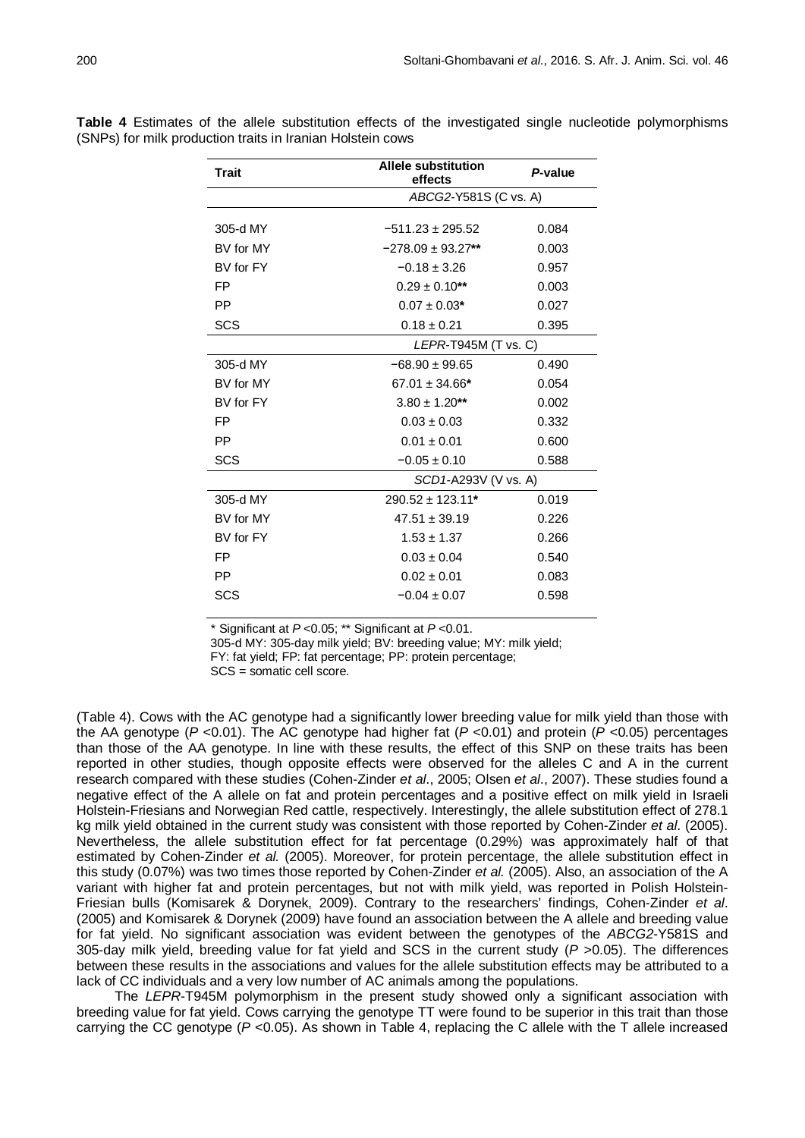| <b>Trait</b> | <b>Allele substitution</b><br>effects | P-value              |  |  |
|--------------|---------------------------------------|----------------------|--|--|
|              | ABCG2-Y581S (C vs. A)                 |                      |  |  |
| 305-d MY     | $-511.23 \pm 295.52$                  | 0.084                |  |  |
| BV for MY    | $-278.09 \pm 93.27**$                 | 0.003                |  |  |
| BV for FY    | $-0.18 \pm 3.26$                      | 0.957                |  |  |
| FP           | $0.29 \pm 0.10$ **                    | 0.003                |  |  |
| <b>PP</b>    | $0.07 \pm 0.03*$                      | 0.027                |  |  |
| <b>SCS</b>   | $0.18 \pm 0.21$                       | 0.395                |  |  |
|              |                                       | LEPR-T945M (T vs. C) |  |  |
| 305-d MY     | $-68.90 \pm 99.65$                    | 0.490                |  |  |
| BV for MY    | $67.01 \pm 34.66*$                    | 0.054                |  |  |
| BV for FY    | $3.80 \pm 1.20**$                     | 0.002                |  |  |
| FP           | $0.03 \pm 0.03$                       | 0.332                |  |  |
| <b>PP</b>    | $0.01 \pm 0.01$                       | 0.600                |  |  |
| SCS          | $-0.05 \pm 0.10$                      | 0.588                |  |  |
|              |                                       | SCD1-A293V (V vs. A) |  |  |
| 305-d MY     | $290.52 \pm 123.11*$                  | 0.019                |  |  |
| BV for MY    | $47.51 \pm 39.19$                     | 0.226                |  |  |
| BV for FY    | $1.53 \pm 1.37$                       | 0.266                |  |  |
| FP           | $0.03 \pm 0.04$                       | 0.540                |  |  |
| PP           | $0.02 \pm 0.01$                       | 0.083                |  |  |
| SCS          | $-0.04 \pm 0.07$                      | 0.598                |  |  |

**Table 4** Estimates of the allele substitution effects of the investigated single nucleotide polymorphisms (SNPs) for milk production traits in Iranian Holstein cows

\* Significant at *P* <0.05; \*\* Significant at *P* <0.01.

305-d MY: 305-day milk yield; BV: breeding value; MY: milk yield;

FY: fat yield; FP: fat percentage; PP: protein percentage;

SCS = somatic cell score.

(Table 4). Cows with the AC genotype had a significantly lower breeding value for milk yield than those with the AA genotype (*P* <0.01). The AC genotype had higher fat (*P* <0.01) and protein (*P* <0.05) percentages than those of the AA genotype. In line with these results, the effect of this SNP on these traits has been reported in other studies, though opposite effects were observed for the alleles C and A in the current research compared with these studies (Cohen-Zinder *et al*., 2005; Olsen *et al*., 2007). These studies found a negative effect of the A allele on fat and protein percentages and a positive effect on milk yield in Israeli Holstein-Friesians and Norwegian Red cattle, respectively. Interestingly, the allele substitution effect of 278.1 kg milk yield obtained in the current study was consistent with those reported by Cohen-Zinder *et al*. (2005). Nevertheless, the allele substitution effect for fat percentage (0.29%) was approximately half of that estimated by Cohen-Zinder *et al.* (2005). Moreover, for protein percentage, the allele substitution effect in this study (0.07%) was two times those reported by Cohen-Zinder *et al.* (2005). Also, an association of the A variant with higher fat and protein percentages, but not with milk yield, was reported in Polish Holstein-Friesian bulls (Komisarek & Dorynek, 2009). Contrary to the researchers' findings, Cohen-Zinder *et al*. (2005) and Komisarek & Dorynek (2009) have found an association between the A allele and breeding value for fat yield. No significant association was evident between the genotypes of the *ABCG2*-Y581S and 305-day milk yield, breeding value for fat yield and SCS in the current study (*P* >0.05). The differences between these results in the associations and values for the allele substitution effects may be attributed to a lack of CC individuals and a very low number of AC animals among the populations.

The *LEPR*-T945M polymorphism in the present study showed only a significant association with breeding value for fat yield. Cows carrying the genotype TT were found to be superior in this trait than those carrying the CC genotype (*P* <0.05). As shown in Table 4, replacing the C allele with the T allele increased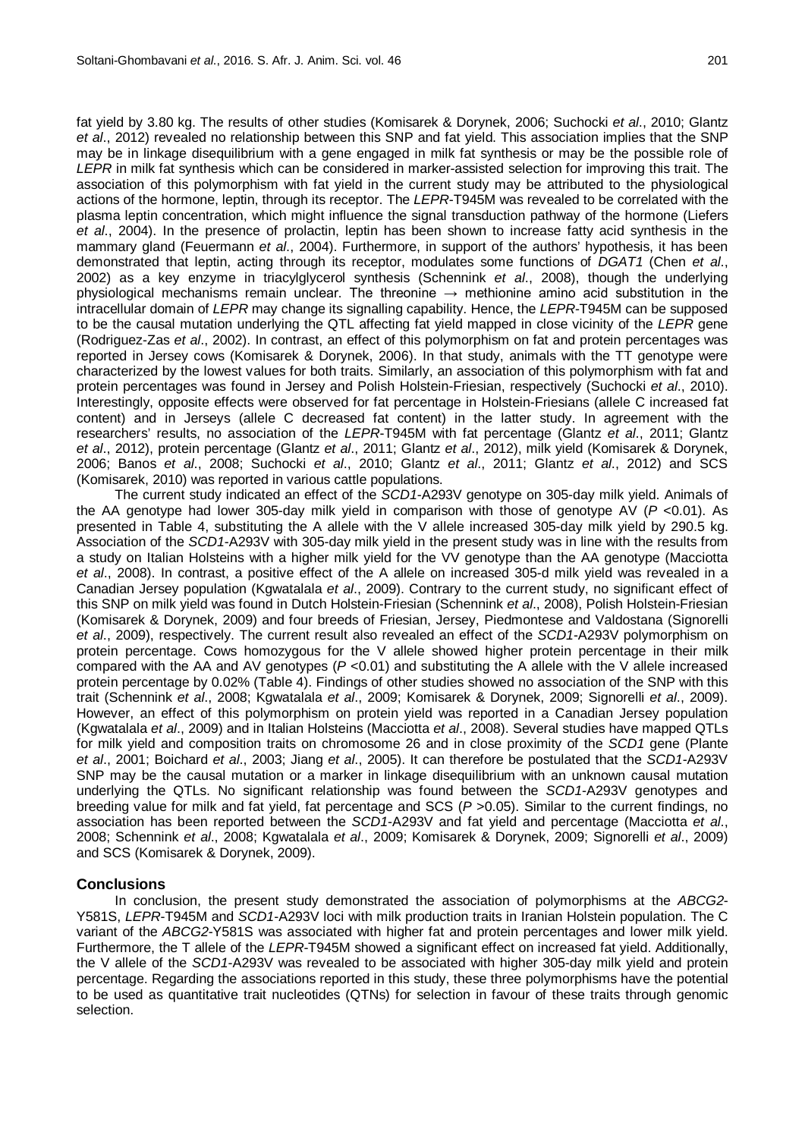fat yield by 3.80 kg. The results of other studies (Komisarek & Dorynek, 2006; Suchocki *et al*., 2010; Glantz *et al*., 2012) revealed no relationship between this SNP and fat yield. This association implies that the SNP may be in linkage disequilibrium with a gene engaged in milk fat synthesis or may be the possible role of *LEPR* in milk fat synthesis which can be considered in marker-assisted selection for improving this trait. The association of this polymorphism with fat yield in the current study may be attributed to the physiological actions of the hormone, leptin, through its receptor. The *LEPR*-T945M was revealed to be correlated with the plasma leptin concentration, which might influence the signal transduction pathway of the hormone (Liefers *et al*., 2004). In the presence of prolactin, leptin has been shown to increase fatty acid synthesis in the mammary gland (Feuermann *et al*., 2004). Furthermore, in support of the authors' hypothesis, it has been demonstrated that leptin, acting through its receptor, modulates some functions of *DGAT1* (Chen *et al*., 2002) as a key enzyme in triacylglycerol synthesis (Schennink *et al*., 2008), though the underlying physiological mechanisms remain unclear. The threonine  $\rightarrow$  methionine amino acid substitution in the intracellular domain of *LEPR* may change its signalling capability. Hence, the *LEPR*-T945M can be supposed to be the causal mutation underlying the QTL affecting fat yield mapped in close vicinity of the *LEPR* gene (Rodriguez-Zas *et al*., 2002). In contrast, an effect of this polymorphism on fat and protein percentages was reported in Jersey cows (Komisarek & Dorynek, 2006). In that study, animals with the TT genotype were characterized by the lowest values for both traits. Similarly, an association of this polymorphism with fat and protein percentages was found in Jersey and Polish Holstein-Friesian, respectively (Suchocki *et al*., 2010). Interestingly, opposite effects were observed for fat percentage in Holstein-Friesians (allele C increased fat content) and in Jerseys (allele C decreased fat content) in the latter study. In agreement with the researchers' results, no association of the *LEPR*-T945M with fat percentage (Glantz *et al*., 2011; Glantz *et al*., 2012), protein percentage (Glantz *et al*., 2011; Glantz *et al*., 2012), milk yield (Komisarek & Dorynek, 2006; Banos *et al*., 2008; Suchocki *et al*., 2010; Glantz *et al*., 2011; Glantz *et al*., 2012) and SCS (Komisarek, 2010) was reported in various cattle populations.

The current study indicated an effect of the *SCD1*-A293V genotype on 305-day milk yield. Animals of the AA genotype had lower 305-day milk yield in comparison with those of genotype AV (*P* <0.01). As presented in Table 4, substituting the A allele with the V allele increased 305-day milk yield by 290.5 kg. Association of the *SCD1*-A293V with 305-day milk yield in the present study was in line with the results from a study on Italian Holsteins with a higher milk yield for the VV genotype than the AA genotype (Macciotta *et al*., 2008). In contrast, a positive effect of the A allele on increased 305-d milk yield was revealed in a Canadian Jersey population (Kgwatalala *et al*., 2009). Contrary to the current study, no significant effect of this SNP on milk yield was found in Dutch Holstein-Friesian (Schennink *et al*., 2008), Polish Holstein-Friesian (Komisarek & Dorynek, 2009) and four breeds of Friesian, Jersey, Piedmontese and Valdostana (Signorelli *et al*., 2009), respectively. The current result also revealed an effect of the *SCD1*-A293V polymorphism on protein percentage. Cows homozygous for the V allele showed higher protein percentage in their milk compared with the AA and AV genotypes (*P* <0.01) and substituting the A allele with the V allele increased protein percentage by 0.02% (Table 4). Findings of other studies showed no association of the SNP with this trait (Schennink *et al*., 2008; Kgwatalala *et al*., 2009; Komisarek & Dorynek, 2009; Signorelli *et al*., 2009). However, an effect of this polymorphism on protein yield was reported in a Canadian Jersey population (Kgwatalala *et al*., 2009) and in Italian Holsteins (Macciotta *et al*., 2008). Several studies have mapped QTLs for milk yield and composition traits on chromosome 26 and in close proximity of the *SCD1* gene (Plante *et al*., 2001; Boichard *et al*., 2003; Jiang *et al*., 2005). It can therefore be postulated that the *SCD1*-A293V SNP may be the causal mutation or a marker in linkage disequilibrium with an unknown causal mutation underlying the QTLs. No significant relationship was found between the *SCD1*-A293V genotypes and breeding value for milk and fat yield, fat percentage and SCS (*P* >0.05). Similar to the current findings, no association has been reported between the *SCD1*-A293V and fat yield and percentage (Macciotta *et al*., 2008; Schennink *et al*., 2008; Kgwatalala *et al*., 2009; Komisarek & Dorynek, 2009; Signorelli *et al*., 2009) and SCS (Komisarek & Dorynek, 2009).

### **Conclusions**

In conclusion, the present study demonstrated the association of polymorphisms at the *ABCG2*- Y581S, *LEPR*-T945M and *SCD1*-A293V loci with milk production traits in Iranian Holstein population. The C variant of the *ABCG2*-Y581S was associated with higher fat and protein percentages and lower milk yield. Furthermore, the T allele of the *LEPR*-T945M showed a significant effect on increased fat yield. Additionally, the V allele of the *SCD1*-A293V was revealed to be associated with higher 305-day milk yield and protein percentage. Regarding the associations reported in this study, these three polymorphisms have the potential to be used as quantitative trait nucleotides (QTNs) for selection in favour of these traits through genomic selection.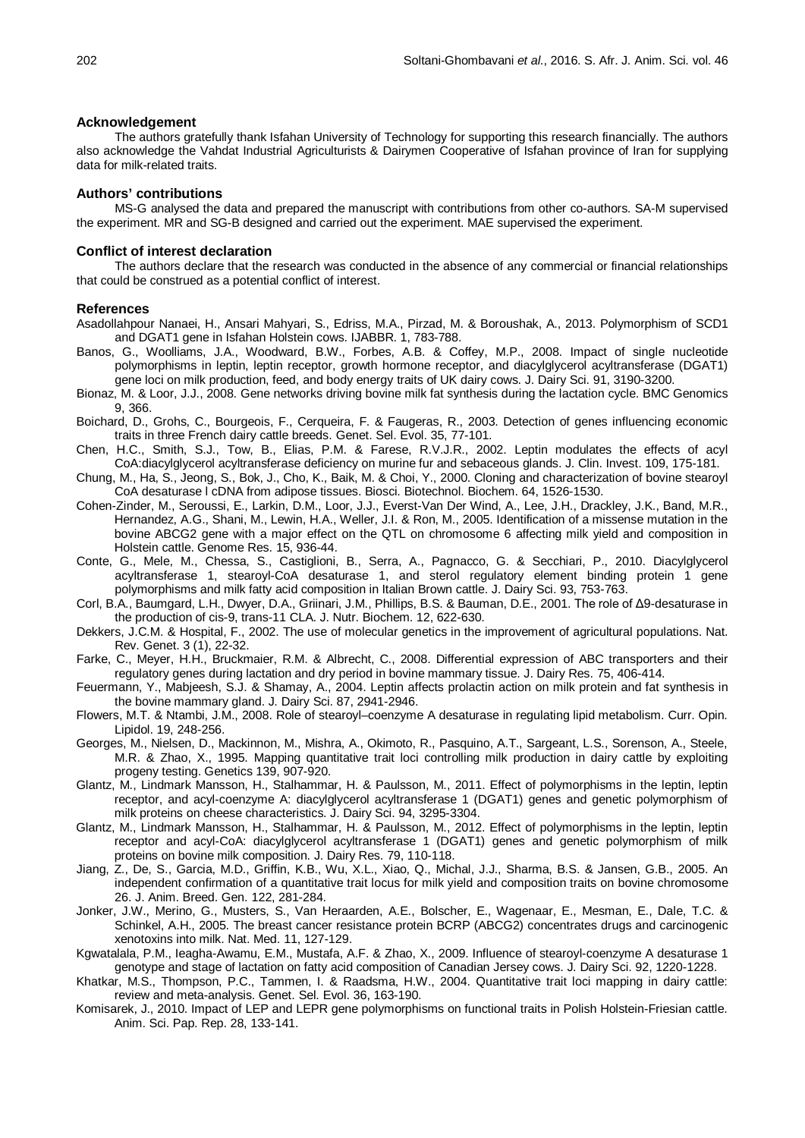#### **Acknowledgement**

The authors gratefully thank Isfahan University of Technology for supporting this research financially. The authors also acknowledge the Vahdat Industrial Agriculturists & Dairymen Cooperative of Isfahan province of Iran for supplying data for milk-related traits.

#### **Authors' contributions**

MS-G analysed the data and prepared the manuscript with contributions from other co-authors. SA-M supervised the experiment. MR and SG-B designed and carried out the experiment. MAE supervised the experiment.

#### **Conflict of interest declaration**

The authors declare that the research was conducted in the absence of any commercial or financial relationships that could be construed as a potential conflict of interest.

### **References**

Asadollahpour Nanaei, H., Ansari Mahyari, S., Edriss, M.A., Pirzad, M. & Boroushak, A., 2013. Polymorphism of SCD1 and DGAT1 gene in Isfahan Holstein cows. IJABBR. 1, 783-788.

- Banos, G., Woolliams, J.A., Woodward, B.W., Forbes, A.B. & Coffey, M.P., 2008. Impact of single nucleotide polymorphisms in leptin, leptin receptor, growth hormone receptor, and diacylglycerol acyltransferase (DGAT1) gene loci on milk production, feed, and body energy traits of UK dairy cows. J. Dairy Sci. 91, 3190-3200.
- Bionaz, M. & Loor, J.J., 2008. Gene networks driving bovine milk fat synthesis during the lactation cycle. BMC Genomics 9, 366.
- Boichard, D., Grohs, C., Bourgeois, F., Cerqueira, F. & Faugeras, R., 2003. Detection of genes influencing economic traits in three French dairy cattle breeds. Genet. Sel. Evol. 35, 77-101.
- Chen, H.C., Smith, S.J., Tow, B., Elias, P.M. & Farese, R.V.J.R., 2002. Leptin modulates the effects of acyl CoA:diacylglycerol acyltransferase deficiency on murine fur and sebaceous glands. J. Clin. Invest. 109, 175-181.
- Chung, M., Ha, S., Jeong, S., Bok, J., Cho, K., Baik, M. & Choi, Y., 2000. Cloning and characterization of bovine stearoyl CoA desaturase l cDNA from adipose tissues. Biosci. Biotechnol. Biochem. 64, 1526-1530.
- Cohen-Zinder, M., Seroussi, E., Larkin, D.M., Loor, J.J., Everst-Van Der Wind, A., Lee, J.H., Drackley, J.K., Band, M.R., Hernandez, A.G., Shani, M., Lewin, H.A., Weller, J.I. & Ron, M., 2005. Identification of a missense mutation in the bovine ABCG2 gene with a major effect on the QTL on chromosome 6 affecting milk yield and composition in Holstein cattle. Genome Res. 15, 936-44.
- Conte, G., Mele, M., Chessa, S., Castiglioni, B., Serra, A., Pagnacco, G. & Secchiari, P., 2010. Diacylglycerol acyltransferase 1, stearoyl-CoA desaturase 1, and sterol regulatory element binding protein 1 gene polymorphisms and milk fatty acid composition in Italian Brown cattle. J. Dairy Sci. 93, 753-763.
- Corl, B.A., Baumgard, L.H., Dwyer, D.A., Griinari, J.M., Phillips, B.S. & Bauman, D.E., 2001. The role of Δ9-desaturase in the production of cis-9, trans-11 CLA. J. Nutr. Biochem. 12, 622-630.
- Dekkers, J.C.M. & Hospital, F., 2002. The use of molecular genetics in the improvement of agricultural populations. Nat. Rev. Genet. 3 (1), 22-32.
- Farke, C., Meyer, H.H., Bruckmaier, R.M. & Albrecht, C., 2008. Differential expression of ABC transporters and their regulatory genes during lactation and dry period in bovine mammary tissue. J. Dairy Res. 75, 406-414.
- Feuermann, Y., Mabjeesh, S.J. & Shamay, A., 2004. Leptin affects prolactin action on milk protein and fat synthesis in the bovine mammary gland. J. Dairy Sci. 87, 2941-2946.
- Flowers, M.T. & Ntambi, J.M., 2008. Role of stearoyl–coenzyme A desaturase in regulating lipid metabolism. Curr. Opin. Lipidol. 19, 248-256.
- Georges, M., Nielsen, D., Mackinnon, M., Mishra, A., Okimoto, R., Pasquino, A.T., Sargeant, L.S., Sorenson, A., Steele, M.R. & Zhao, X., 1995. Mapping quantitative trait loci controlling milk production in dairy cattle by exploiting progeny testing. Genetics 139, 907-920.
- Glantz, M., Lindmark Mansson, H., Stalhammar, H. & Paulsson, M., 2011. Effect of polymorphisms in the leptin, leptin receptor, and acyl-coenzyme A: diacylglycerol acyltransferase 1 (DGAT1) genes and genetic polymorphism of milk proteins on cheese characteristics. J. Dairy Sci. 94, 3295-3304.
- Glantz, M., Lindmark Mansson, H., Stalhammar, H. & Paulsson, M., 2012. Effect of polymorphisms in the leptin, leptin receptor and acyl-CoA: diacylglycerol acyltransferase 1 (DGAT1) genes and genetic polymorphism of milk proteins on bovine milk composition. J. Dairy Res. 79, 110-118.
- Jiang, Z., De, S., Garcia, M.D., Griffin, K.B., Wu, X.L., Xiao, Q., Michal, J.J., Sharma, B.S. & Jansen, G.B., 2005. An independent confirmation of a quantitative trait locus for milk yield and composition traits on bovine chromosome 26. J. Anim. Breed. Gen. 122, 281-284.
- Jonker, J.W., Merino, G., Musters, S., Van Heraarden, A.E., Bolscher, E., Wagenaar, E., Mesman, E., Dale, T.C. & Schinkel, A.H., 2005. The breast cancer resistance protein BCRP (ABCG2) concentrates drugs and carcinogenic xenotoxins into milk. Nat. Med. 11, 127-129.
- Kgwatalala, P.M., Ieagha-Awamu, E.M., Mustafa, A.F. & Zhao, X., 2009. Influence of stearoyl-coenzyme A desaturase 1 genotype and stage of lactation on fatty acid composition of Canadian Jersey cows. J. Dairy Sci. 92, 1220-1228.
- Khatkar, M.S., Thompson, P.C., Tammen, I. & Raadsma, H.W., 2004. Quantitative trait loci mapping in dairy cattle: review and meta-analysis. Genet. Sel. Evol. 36, 163-190.
- Komisarek, J., 2010. Impact of LEP and LEPR gene polymorphisms on functional traits in Polish Holstein-Friesian cattle. Anim. Sci. Pap. Rep. 28, 133-141.